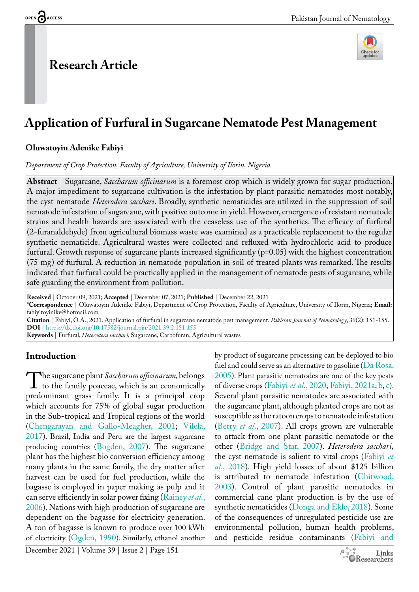# **Research Article**



# **Application of Furfural in Sugarcane Nematode Pest Management**

#### **Oluwatoyin Adenike Fabiyi**

*Department of Crop Protection, Faculty of Agriculture, University of Ilorin, Nigeria.*

**Abstract** | Sugarcane, *Saccharum officinarum* is a foremost crop which is widely grown for sugar production. A major impediment to sugarcane cultivation is the infestation by plant parasitic nematodes most notably, the cyst nematode *Heterodera sacchari*. Broadly, synthetic nematicides are utilized in the suppression of soil nematode infestation of sugarcane, with positive outcome in yield. However, emergence of resistant nematode strains and health hazards are associated with the ceaseless use of the synthetics. The efficacy of furfural (2-furanaldehyde) from agricultural biomass waste was examined as a practicable replacement to the regular synthetic nematicide. Agricultural wastes were collected and refluxed with hydrochloric acid to produce furfural. Growth response of sugarcane plants increased significantly (p=0.05) with the highest concentration (75 mg) of furfural. A reduction in nematode population in soil of treated plants was remarked. The results indicated that furfural could be practically applied in the management of nematode pests of sugarcane, while safe guarding the environment from pollution.

**Received** | October 09, 2021; **Accepted** | December 07, 2021; **Published** | December 22, 2021

**\*Correspondence** | Oluwatoyin Adenike Fabiyi, Department of Crop Protection, Faculty of Agriculture, University of Ilorin, Nigeria; **Email:** fabiyitoyinike@hotmail.com

**Citation** | Fabiyi, O.A., 2021. Application of furfural in sugarcane nematode pest management. *Pakistan Journal of Nematology*, 39(2): 151-155. **DOI** |<https://dx.doi.org/10.17582/journal.pjn/2021.39.2.151.155>

**Keywords** | Furfural, *Heterodera sacchari*, Sugarcane, Carbofuran, Agricultural wastes

## **Introduction**

The sugarcane plant *Saccharum officinarum*, belongs<br>to the family poaceae, which is an economically<br>predominant grass family It is a principal crop to the family poaceae, which is an economically predominant grass family. It is a principal crop which accounts for 75% of global sugar production in the Sub-tropical and Tropical regions of the world [\(Chengarayan and Gallo-Meagher, 2001](#page-3-0); [Vilela,](#page-4-0)  [2017\)](#page-4-0). Brazil, India and Peru are the largest sugarcane producing countries [\(Bogden, 2007](#page-3-1)). The sugarcane plant has the highest bio conversion efficiency among many plants in the same family, the dry matter after harvest can be used for fuel production, while the bagasse is employed in paper making as pulp and it can serve efficiently in solar power fixing ([Rainey](#page-4-1) *et al*., [2006\)](#page-4-1). Nations with high production of sugarcane are dependent on the bagasse for electricity generation. A ton of bagasse is known to produce over 100 kWh of electricity ([Ogden, 1990\)](#page-4-2). Similarly, ethanol another

by product of sugarcane processing can be deployed to bio fuel and could serve as an alternative to gasoline ( $Da Rosa$ , [2005](#page-3-2)). Plant parasitic nematodes are one of the key pests of diverse crops [\(Fabiyi](#page-3-3) *et al*., 2020; [Fabiyi, 2021a,](#page-3-4) [b,](#page-3-5) [c\)](#page-3-6). Several plant parasitic nematodes are associated with the sugarcane plant, although planted crops are not as susceptible as the ratoon crops to nematode infestation (Berry *et al*[., 2007](#page-3-7)). All crops grown are vulnerable to attack from one plant parasitic nematode or the other ([Bridge and Star, 2007](#page-3-8)). *Heterodera sacchari,*  the cyst nematode is salient to vital crops [\(Fabiyi](#page-4-3) *et al*[., 2018](#page-4-3)). High yield losses of about \$125 billion is attributed to nematode infestation [\(Chitwood,](#page-3-9) [2003](#page-3-9)). Control of plant parasitic nematodes in commercial cane plant production is by the use of synthetic nematicides ([Donga and Eklo, 2018\)](#page-3-10). Some of the consequences of unregulated pesticide use are environmental pollution, human health problems, and pesticide residue contaminants ([Fabiyi and](#page-3-11)

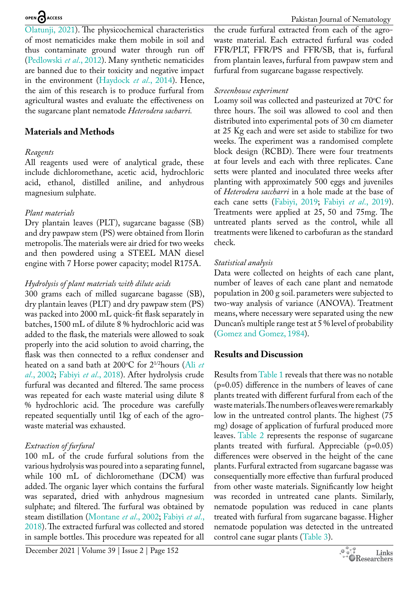[Olatunji, 2021\)](#page-3-11). The physicochemical characteristics of most nematicides make them mobile in soil and thus contaminate ground water through run off [\(Pedlowski](#page-4-4) *et al*., 2012). Many synthetic nematicides are banned due to their toxicity and negative impact in the environment ([Haydock](#page-4-5) *et al*., 2014). Hence, the aim of this research is to produce furfural from agricultural wastes and evaluate the effectiveness on the sugarcane plant nematode *Heterodera sacharri.*

## **Materials and Methods**

#### *Reagents*

All reagents used were of analytical grade, these include dichloromethane, acetic acid, hydrochloric acid, ethanol, distilled aniline, and anhydrous magnesium sulphate.

### *Plant materials*

Dry plantain leaves (PLT), sugarcane bagasse (SB) and dry pawpaw stem (PS) were obtained from Ilorin metropolis. The materials were air dried for two weeks and then powdered using a STEEL MAN diesel engine with 7 Horse power capacity; model R175A.

### *Hydrolysis of plant materials with dilute acids*

300 grams each of milled sugarcane bagasse (SB), dry plantain leaves (PLT) and dry pawpaw stem (PS) was packed into 2000 mL quick-fit flask separately in batches, 1500 mL of dilute 8 % hydrochloric acid was added to the flask, the materials were allowed to soak properly into the acid solution to avoid charring, the flask was then connected to a reflux condenser and heated on a sand bath at 200°C for 2<sup>1/2</sup>hours ([Ali](#page-3-12) *et al*[., 2002](#page-3-12); Fabiyi *et al*[., 2018](#page-4-3)). After hydrolysis crude furfural was decanted and filtered. The same process was repeated for each waste material using dilute 8 % hydrochloric acid. The procedure was carefully repeated sequentially until 1kg of each of the agrowaste material was exhausted.

## *Extraction of furfural*

100 mL of the crude furfural solutions from the various hydrolysis was poured into a separating funnel, while 100 mL of dichloromethane (DCM) was added. The organic layer which contains the furfural was separated, dried with anhydrous magnesium sulphate; and filtered. The furfural was obtained by steam distillation ([Montane](#page-4-6) *et al*., 2002; [Fabiyi](#page-4-3) *et al*., [2018](#page-4-3)). The extracted furfural was collected and stored in sample bottles. This procedure was repeated for all

December 2021 | Volume 39 | Issue 2 | Page 152

the crude furfural extracted from each of the agrowaste material. Each extracted furfural was coded FFR/PLT, FFR/PS and FFR/SB, that is, furfural from plantain leaves, furfural from pawpaw stem and furfural from sugarcane bagasse respectively.

# *Screenhouse experiment*

Loamy soil was collected and pasteurized at 70°C for three hours. The soil was allowed to cool and then distributed into experimental pots of 30 cm diameter at 25 Kg each and were set aside to stabilize for two weeks. The experiment was a randomised complete block design (RCBD). There were four treatments at four levels and each with three replicates. Cane setts were planted and inoculated three weeks after planting with approximately 500 eggs and juveniles of *Heterodera saccharri* in a hole made at the base of each cane setts [\(Fabiyi, 2019;](#page-3-13) Fabiyi *et al*[., 2019](#page-4-7)). Treatments were applied at 25, 50 and 75mg. The untreated plants served as the control, while all treatments were likened to carbofuran as the standard check.

## *Statistical analysis*

Data were collected on heights of each cane plant, number of leaves of each cane plant and nematode population in 200 g soil. parameters were subjected to two-way analysis of variance (ANOVA). Treatment means, where necessary were separated using the new Duncan's multiple range test at 5 % level of probability [\(Gomez and Gomez, 1984\)](#page-4-8).

# **Results and Discussion**

Results from [Table 1](#page-2-0) reveals that there was no notable (p=0.05) difference in the numbers of leaves of cane plants treated with different furfural from each of the waste materials. The numbers of leaves were remarkably low in the untreated control plants. The highest (75 mg) dosage of application of furfural produced more leaves. [Table 2](#page-2-1) represents the response of sugarcane plants treated with furfural. Appreciable (p=0.05) differences were observed in the height of the cane plants. Furfural extracted from sugarcane bagasse was consequentially more effective than furfural produced from other waste materials. Significantly low height was recorded in untreated cane plants. Similarly, nematode population was reduced in cane plants treated with furfural from sugarcane bagasse. Higher nematode population was detected in the untreated control cane sugar plants [\(Table 3](#page-2-2)).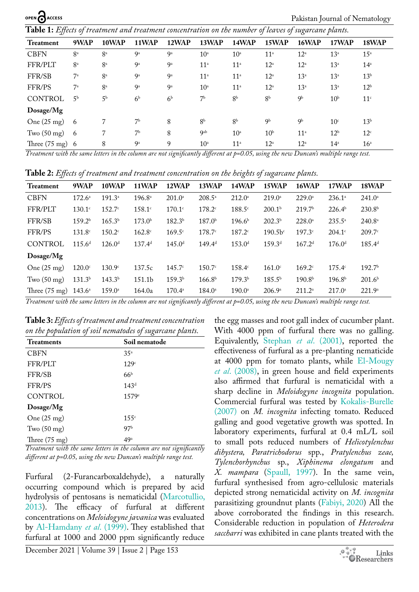<span id="page-2-0"></span>**Table 1:** *Effects of treatment and treatment concentration on the number of leaves of sugarcane plants.*

| 9WAP                      | 10WAP                             | 11WAP                                           | 12WAP          | 13WAP           | 14WAP                                  | 15WAP                                   | 16WAP             | 17WAP           | 18WAP             |
|---------------------------|-----------------------------------|-------------------------------------------------|----------------|-----------------|----------------------------------------|-----------------------------------------|-------------------|-----------------|-------------------|
| 8 <sup>a</sup>            | 8 <sup>a</sup>                    | 9 <sup>a</sup>                                  | <b>9a</b>      | 10 <sup>a</sup> | 10 <sup>a</sup>                        | 11 <sup>a</sup>                         | $12^{\rm a}$      | 13 <sup>a</sup> | $15^{\mathrm{a}}$ |
| 8 <sup>a</sup>            | 8 <sup>a</sup>                    | 9 <sup>a</sup>                                  | 9 <sup>a</sup> | 11 <sup>a</sup> | 11 <sup>a</sup>                        | $12^{\mathrm{a}}$                       | $12^{\mathrm{a}}$ | 13 <sup>a</sup> | 14 <sup>a</sup>   |
| $7^{\mathrm{a}}$          | 8 <sup>a</sup>                    | 9 <sup>a</sup>                                  | <b>ga</b>      | 11 <sup>a</sup> | 11 <sup>a</sup>                        | $12^{\mathrm{a}}$                       | 13 <sup>a</sup>   | 13 <sup>a</sup> | 13 <sup>b</sup>   |
| $7^{\mathrm{a}}$          | 8 <sup>a</sup>                    | 9 <sup>a</sup>                                  | <b>ga</b>      | 10 <sup>a</sup> | 11 <sup>a</sup>                        | $12^{\mathrm{a}}$                       | $13^a$            | 13 <sup>a</sup> | 12 <sup>b</sup>   |
| 5 <sup>b</sup>            | 5 <sup>b</sup>                    | 6 <sup>b</sup>                                  | 6 <sup>b</sup> | 7 <sup>b</sup>  | 8 <sup>b</sup>                         | 8 <sup>b</sup>                          | 9b                | 10 <sup>b</sup> | 11 <sup>c</sup>   |
|                           |                                   |                                                 |                |                 |                                        |                                         |                   |                 |                   |
| -6                        | 7                                 | 7 <sup>b</sup>                                  | 8              | 8 <sup>b</sup>  | 8 <sup>b</sup>                         | 9 <sub>b</sub>                          | 9 <sub>b</sub>    | 10 <sup>c</sup> | 13 <sup>b</sup>   |
| - 6                       | 7                                 | 7 <sup>b</sup>                                  | 8              | <b>g</b> ab     | 10 <sup>a</sup>                        | 10 <sup>b</sup>                         | 11 <sup>a</sup>   | 12 <sup>b</sup> | 12 <sup>c</sup>   |
| Three $(75 \text{ mg})$ 6 | 8                                 | 9a                                              | 9              | 10 <sup>a</sup> | 11 <sup>a</sup>                        | $12^{\rm a}$                            | $12^{\mathrm{a}}$ | $14^a$          | 16 <sup>a</sup>   |
|                           | $\cdot$ . $\cdot$ $\cdot$ $\cdot$ | $\mathbf{r}$<br>$\cdot$ $\cdot$ $\cdot$ $\cdot$ | $\mathbf{z}$   | $\cdot$ $\sim$  | $\mathbf{1}$ $\mathbf{1}$ $\mathbf{r}$ | $\cdot$ $\cdot$ $\cdot$ $\cdot$ $\cdot$ | $\overline{1}$    | $\mathbf{r}$    | 7.1.7             |

*Treatment with the same letters in the column are not significantly different at p=0.05, using the new Duncan's multiple range test.*

<span id="page-2-1"></span>**Table 2:** *Effects of treatment and treatment concentration on the heights of sugarcane plants.*

| <b>Treatment</b>        | 9WAP               | 10WAP              | <b>11WAP</b>       | 12WAP              | 13WAP              | 14WAP                | 15WAP                | 16WAP                | 17WAP              | 18WAP                |
|-------------------------|--------------------|--------------------|--------------------|--------------------|--------------------|----------------------|----------------------|----------------------|--------------------|----------------------|
| <b>CBFN</b>             | $172.6^{\circ}$    | $191.3^a$          | $196.8^{\circ}$    | $201.0^{\circ}$    | $208.5^{\circ}$    | $212.0^{\circ}$      | $219.0^{\circ}$      | $229.0^{\circ}$      | $236.1^{\circ}$    | $241.0^{\circ}$      |
| FFR/PLT                 | $130.1^\circ$      | 152.7c             | $158.1$ c          | $170.1$ c          | $178.2^{\circ}$    | 188.5c               | 200.1 <sup>b</sup>   | 219.7 <sup>b</sup>   | 226.4 <sup>b</sup> | 230.8 <sup>b</sup>   |
| FFR/SB                  | 159.2 <sup>b</sup> | 165.3 <sup>b</sup> | 173.0 <sup>b</sup> | 182.3 <sup>b</sup> | 187.0 <sup>b</sup> | 196.6 <sup>b</sup>   | 202.3 <sup>b</sup>   | $228.0^{\circ}$      | $235.5^{\circ}$    | $240.8^{\mathrm{a}}$ |
| FFR/PS                  | $131.8^{\circ}$    | $150.2^{\circ}$    | $162.8^{\circ}$    | 169.5c             | 178.7c             | $187.2$ <sup>c</sup> | $190.5b^c$           | $197.3$ <sup>c</sup> | $204.1^{\circ}$    | 209.7c               |
| <b>CONTROL</b>          | $115.6^{d}$        | 126.0 <sup>d</sup> | 137.4 <sup>d</sup> | 145.0 <sup>d</sup> | 149.4 <sup>d</sup> | 153.0 <sup>d</sup>   | 159.3 <sup>d</sup>   | 167.2 <sup>d</sup>   | 176.0 <sup>d</sup> | 185.4 <sup>d</sup>   |
| Dosage/Mg               |                    |                    |                    |                    |                    |                      |                      |                      |                    |                      |
| One $(25 \text{ mg})$   | $120.0^\circ$      | 130.9 <sup>c</sup> | 137.5c             | 145.7c             | 150.7 <sup>c</sup> | 158.4c               | $161.0$ <sup>c</sup> | $169.2^\circ$        | 175.4c             | 192.7 <sup>b</sup>   |
| Two $(50 \text{ mg})$   | 131.3 <sup>b</sup> | 143.3 <sup>b</sup> | 151.1b             | 159.3 <sup>b</sup> | 166.8 <sup>b</sup> | 179.3 <sup>b</sup>   | $185.5^{b}$          | 190.8 <sup>b</sup>   | 196.8 <sup>b</sup> | 201.6 <sup>b</sup>   |
| Three $(75 \text{ mg})$ | $143.6^{\circ}$    | $159.0^{\circ}$    | 164.0a             | $170.4^{\circ}$    | $184.0^{\circ}$    | 190.0a               | 206.9a               | $211.2^a$            | $217.0^{\circ}$    | $221.9^{\circ}$      |

*Treatment with the same letters in the column are not significantly different at p=0.05, using the new Duncan's multiple range test.*

<span id="page-2-2"></span>**Table 3:** *Effects of treatment and treatment concentration on the population of soil nematodes of sugarcane plants.*

| T<br>◡<br><b>Treatments</b> | ◡<br>Ő<br>Soil nematode |
|-----------------------------|-------------------------|
| <b>CBFN</b>                 | 35 <sup>a</sup>         |
| FFR/PLT                     | 129c                    |
| FFR/SB                      | 66 <sup>b</sup>         |
| FFR/PS                      | 143 <sup>d</sup>        |
| CONTROL                     | 1579 <sup>e</sup>       |
| Dosage/Mg                   |                         |
| One $(25 \text{ mg})$       | 155 <sup>c</sup>        |
| Two $(50 \text{ mg})$       | 97 <sup>b</sup>         |
| Three $(75 \text{ mg})$     | 49 <sup>a</sup>         |

*Treatment with the same letters in the column are not significantly different at p=0.05, using the new Duncan's multiple range test.*

Furfural (2-Furancarboxaldehyde), a naturally occurring compound which is prepared by acid hydrolysis of pentosans is nematicidal ([Marcotullio,](#page-4-9)  [2013](#page-4-9)). The efficacy of furfural at different concentrations on *Meloidogyne javanica* was evaluated by [Al-Hamdany](#page-3-14) *et al*. (1999). They established that furfural at 1000 and 2000 ppm significantly reduce

the egg masses and root gall index of cucumber plant. With 4000 ppm of furfural there was no galling. Equivalently, [Stephan](#page-4-10) *et al*. (2001), reported the effectiveness of furfural as a pre-planting nematicide at 4000 ppm for tomato plants, while [El-Mougy](#page-3-15) *et al*[. \(2008\)](#page-3-15), in green house and field experiments also affirmed that furfural is nematicidal with a sharp decline in *Meloidogyne incognita* population. Commercial furfural was tested by [Kokalis-Burelle](#page-4-11) [\(2007\)](#page-4-11) on *M. incognita* infecting tomato. Reduced galling and good vegetative growth was spotted. In laboratory experiments, furfural at 0.4 mL/L soil to small pots reduced numbers of *Helicotylenchus dihystera, Paratrichodorus* spp., *Pratylenchus zeae, Tylenchorhynchus* sp., *Xiphinema elongatum* and *X. mampara* [\(Spaull, 1997\)](#page-4-12). In the same vein, furfural synthesised from agro-cellulosic materials depicted strong nematicidal activity on *M. incognita*  parasitizing groundnut plants [\(Fabiyi, 2020\)](#page-3-16) All the above corroborated the findings in this research. Considerable reduction in population of *Heterodera saccharri* was exhibited in cane plants treated with the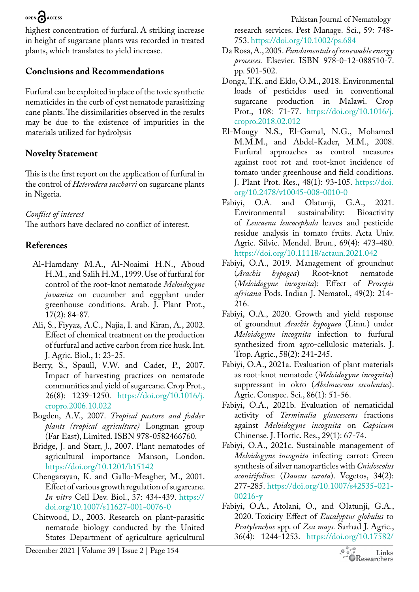highest concentration of furfural. A striking increase in height of sugarcane plants was recorded in treated plants, which translates to yield increase.

# **Conclusions and Recommendations**

Furfural can be exploited in place of the toxic synthetic nematicides in the curb of cyst nematode parasitizing cane plants. The dissimilarities observed in the results may be due to the existence of impurities in the materials utilized for hydrolysis

# **Novelty Statement**

This is the first report on the application of furfural in the control of *Heterodera saccharri* on sugarcane plants in Nigeria.

# *Conflict of interest*

The authors have declared no conflict of interest.

# **References**

- <span id="page-3-14"></span>Al-Hamdany M.A., Al-Noaimi H.N., Aboud H.M., and Salih H.M., 1999. Use of furfural for control of the root-knot nematode *Meloidogyne javanica* on cucumber and eggplant under greenhouse conditions. Arab. J. Plant Prot., 17(2): 84-87.
- <span id="page-3-12"></span>Ali, S., Fiyyaz, A.C., Najia, I. and Kiran, A., 2002. Effect of chemical treatment on the production of furfural and active carbon from rice husk. Int. J. Agric. Biol., 1: 23-25.
- <span id="page-3-7"></span>Berry, S., Spaull, V.W. and Cadet, P., 2007. Impact of harvesting practices on nematode communities and yield of sugarcane. Crop Prot., 26(8): 1239-1250. [https://doi.org/10.1016/j.](https://doi.org/10.1016/j.cropro.2006.10.022) [cropro.2006.10.022](https://doi.org/10.1016/j.cropro.2006.10.022)
- <span id="page-3-1"></span>Bogden, A.V., 2007. *Tropical pasture and fodder plants (tropical agriculture)* Longman group (Far East), Limited. ISBN 978-0582466760.
- <span id="page-3-8"></span>Bridge, J. and Starr, J., 2007. Plant nematodes of agricultural importance Manson, London. <https://doi.org/10.1201/b15142>
- <span id="page-3-0"></span>Chengarayan, K. and Gallo-Meagher, M., 2001. Effect of various growth regulation of sugarcane. *In vitro* Cell Dev. Biol., 37: 434-439. [https://](https://doi.org/10.1007/s11627-001-0076-0) [doi.org/10.1007/s11627-001-0076-0](https://doi.org/10.1007/s11627-001-0076-0)
- <span id="page-3-9"></span>Chitwood, D., 2003. Research on plant-parasitic nematode biology conducted by the United States Department of agriculture agricultural

research services. Pest Manage. Sci., 59: 748- 753.<https://doi.org/10.1002/ps.684>

- <span id="page-3-2"></span>Da Rosa, A., 2005. *Fundamentals of renewable energy processes.* Elsevier. ISBN 978-0-12-088510-7. pp. 501-502.
- <span id="page-3-10"></span>Donga, T.K. and Eklo, O.M., 2018. Environmental loads of pesticides used in conventional sugarcane production in Malawi. Crop Prot., 108: 71-77. [https://doi.org/10.1016/j.](https://doi.org/10.1016/j.cropro.2018.02.012) [cropro.2018.02.012](https://doi.org/10.1016/j.cropro.2018.02.012)
- <span id="page-3-15"></span>El-Mougy N.S., El-Gamal, N.G., Mohamed M.M.M., and Abdel-Kader, M.M., 2008. Furfural approaches as control measures against root rot and root-knot incidence of tomato under greenhouse and field conditions*.*  J. Plant Prot. Res., 48(1): 93-105. [https://doi.](https://doi.org/10.2478/v10045-008-0010-0) [org/10.2478/v10045-008-0010-0](https://doi.org/10.2478/v10045-008-0010-0)
- <span id="page-3-11"></span>Fabiyi, O.A. and Olatunji, G.A., 2021. Environmental sustainability: Bioactivity of *Leucaena leucocephala* leaves and pesticide residue analysis in tomato fruits. Acta Univ. Agric. Silvic. Mendel. Brun., 69(4): 473-480. <https://doi.org/10.11118/actaun.2021.042>
- <span id="page-3-13"></span>Fabiyi, O.A., 2019. Management of groundnut (*Arachis hypogea*) Root-knot nematode (*Meloidogyne incognita*): Effect of *Prosopis africana* Pods. Indian J. Nematol., 49(2): 214- 216.
- <span id="page-3-16"></span>Fabiyi, O.A., 2020. Growth and yield response of groundnut *Arachis hypogaea* (Linn.) under *Meloidogyne incognita* infection to furfural synthesized from agro-cellulosic materials. J. Trop. Agric., 58(2): 241-245.
- <span id="page-3-4"></span>Fabiyi, O.A., 2021a. Evaluation of plant materials as root-knot nematode (*Meloidogyne incognita*) suppressant in okro (*Abelmuscous esculentus*). Agric. Conspec. Sci., 86(1): 51-56.
- <span id="page-3-5"></span>Fabiyi, O.A., 2021b. Evaluation of nematicidal activity of *Terminalia glaucescens* fractions against *Meloidogyne incognita* on *Capsicum*  Chinense*.* J. Hortic. Res., 29(1): 67-74.
- <span id="page-3-6"></span>Fabiyi, O.A., 2021c. Sustainable management of *Meloidogyne incognita* infecting carrot: Green synthesis of silver nanoparticles with *Cnidoscolus aconitifolius*: (*Daucus carota*). Vegetos, 34(2): 277-285. [https://doi.org/10.1007/s42535-021-](https://doi.org/10.1007/s42535-021-00216-y) [00216-y](https://doi.org/10.1007/s42535-021-00216-y)
- <span id="page-3-3"></span>Fabiyi, O.A., Atolani, O., and Olatunji, G.A., 2020. Toxicity Effect of *Eucalyptus globulus* to *Pratylenchus* spp. of *Zea mays.* Sarhad J. Agric., 36(4): 1244-1253. [https://doi.org/10.17582/](https://doi.org/10.17582/journal.sja/2020/36.4.1244.1253)